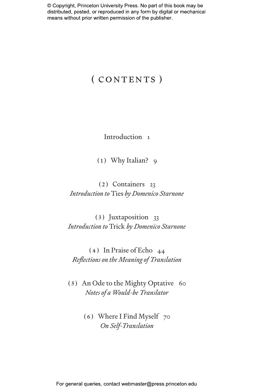## (CONTENTS)

Introduction 1

(1) Why Italian? 9

(2) Containers 23 *Introduction to* Ties *by Domenico Starnone*

(3) Juxtaposition 33 *Introduction to* Trick *by Domenico Starnone*

(4) In Praise of Echo 44 *Reflections on the Meaning of Translation*

(5) An Ode to the Mighty Optative 60 *Notes of a Would-be Translator*

> (6) Where I Find Myself 70 *On Self-Translation*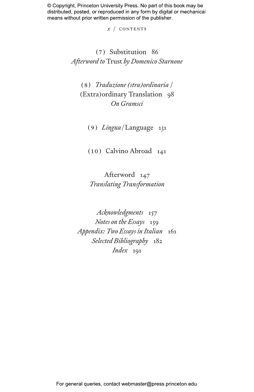*x* / CONTENTS

### (7) Substitution 86 *Afterword to* Trust *by Domenico Starnone*

(8) *Traduzione (stra)ordinaria* / (Extra)ordinary Translation 98 *On Gramsci*

(9) *Lingua*/Language 131

(10) Calvino Abroad 141

Afterword 147 *Translating Transformation*

*Acknowledgments* 157 *Notes on the Essays* 159 *Appendix: Two Essays in Italian* 161 *Selected Bibliography* 182 *Index* 191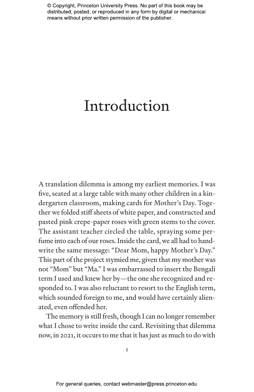# Introduction

A translation dilemma is among my earliest memories. I was five, seated at a large table with many other children in a kindergarten classroom, making cards for Mother's Day. Together we folded stiff sheets of white paper, and constructed and pasted pink crepe-paper roses with green stems to the cover. The assistant teacher circled the table, spraying some perfume into each of our roses. Inside the card, we all had to handwrite the same message: "Dear Mom, happy Mother's Day." This part of the project stymied me, given that my mother was not "Mom" but "Ma." I was embarrassed to insert the Bengali term I used and knew her by—the one she recognized and responded to. I was also reluctant to resort to the English term, which sounded foreign to me, and would have certainly alienated, even offended her.

The memory is still fresh, though I can no longer remember what I chose to write inside the card. Revisiting that dilemma now, in 2021, it occurs to me that it has just as much to do with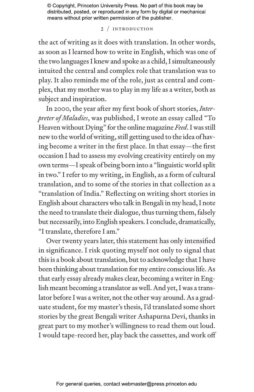#### 2 / INTRODUCTION

the act of writing as it does with translation. In other words, as soon as I learned how to write in English, which was one of the two languages I knew and spoke as a child, I simultaneously intuited the central and complex role that translation was to play. It also reminds me of the role, just as central and complex, that my mother was to play in my life as a writer, both as subject and inspiration.

In 2000, the year after my first book of short stories, *Interpreter of Maladies*, was published, I wrote an essay called "To Heaven without Dying" for the online magazine *Feed*. I was still new to the world of writing, still getting used to the idea of having become a writer in the first place. In that essay—the first occasion I had to assess my evolving creativity entirely on my own terms—I speak of being born into a "linguistic world split in two." I refer to my writing, in English, as a form of cultural translation, and to some of the stories in that collection as a "translation of India." Reflecting on writing short stories in English about characters who talk in Bengali in my head, I note the need to translate their dialogue, thus turning them, falsely but necessarily, into English speakers. I conclude, dramatically, "I translate, therefore I am."

Over twenty years later, this statement has only intensified in significance. I risk quoting myself not only to signal that this is a book about translation, but to acknowledge that I have been thinking about translation for my entire conscious life. As that early essay already makes clear, becoming a writer in English meant becoming a translator as well. And yet, I was a translator before I was a writer, not the other way around. As a graduate student, for my master's thesis, I'd translated some short stories by the great Bengali writer Ashapurna Devi, thanks in great part to my mother's willingness to read them out loud. I would tape-record her, play back the cassettes, and work off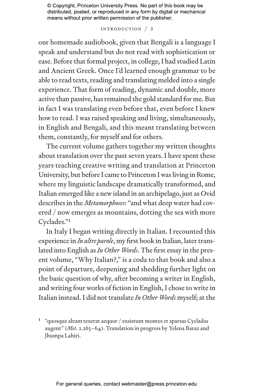#### Introduction / 3

our homemade audiobook, given that Bengali is a language I speak and understand but do not read with sophistication or ease. Before that formal project, in college, I had studied Latin and Ancient Greek. Once I'd learned enough grammar to be able to read texts, reading and translating melded into a single experience. That form of reading, dynamic and double, more active than passive, has remained the gold standard for me. But in fact I was translating even before that, even before I knew how to read. I was raised speaking and living, simultaneously, in English and Bengali, and this meant translating between them, constantly, for myself and for others.

The current volume gathers together my written thoughts about translation over the past seven years. I have spent these years teaching creative writing and translation at Princeton University, but before I came to Princeton I was living in Rome, where my linguistic landscape dramatically transformed, and Italian emerged like a new island in an archipelago, just as Ovid describes in the *Metamorphoses*: "and what deep water had covered / now emerges as mountains, dotting the sea with more Cyclades."1

In Italy I began writing directly in Italian. I recounted this experience in *In altre parole*, my first book in Italian, later translated into English as *In Other Words*. The first essay in the present volume, "Why Italian?," is a coda to that book and also a point of departure, deepening and shedding further light on the basic question of why, after becoming a writer in English, and writing four works of fiction in English, I chose to write in Italian instead. I did not translate *In Other Words* myself; at the

<sup>1</sup> "quosque altum texerat aequor / exsistunt montes et sparsas Cycladas augent" (*Met.* 2.263–64). Translation in progress by Yelena Baraz and Jhumpa Lahiri.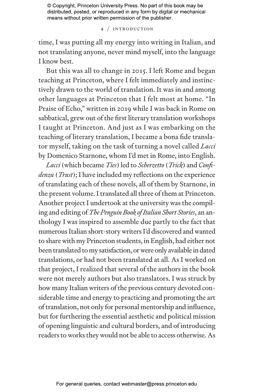4 / Introduction

time, I was putting all my energy into writing in Italian, and not translating anyone, never mind myself, into the language I know best.

But this was all to change in 2015. I left Rome and began teaching at Princeton, where I felt immediately and instinctively drawn to the world of translation. It was in and among other languages at Princeton that I felt most at home. "In Praise of Echo," written in 2019 while I was back in Rome on sabbatical, grew out of the first literary translation workshops I taught at Princeton. And just as I was embarking on the teaching of literary translation, I became a bona fide translator myself, taking on the task of turning a novel called *Lacci*  by Domenico Starnone, whom I'd met in Rome, into English.

*Lacci* (which became *Ties*) led to *Scherzetto* (*Trick*) and *Confidenza* (*Trust*); I have included my reflections on the experience of translating each of these novels, all of them by Starnone, in the present volume. I translated all three of them at Princeton. Another project I undertook at the university was the compiling and editing of *The Penguin Book of Italian Short Stories*, an anthology I was inspired to assemble due partly to the fact that numerous Italian short-story writers I'd discovered and wanted to share with my Princeton students, in English, had either not been translated to my satisfaction, or were only available in dated translations, or had not been translated at all. As I worked on that project, I realized that several of the authors in the book were not merely authors but also translators. I was struck by how many Italian writers of the previous century devoted considerable time and energy to practicing and promoting the art of translation, not only for personal mentorship and influence, but for furthering the essential aesthetic and political mission of opening linguistic and cultural borders, and of introducing readers to works they would not be able to access otherwise. As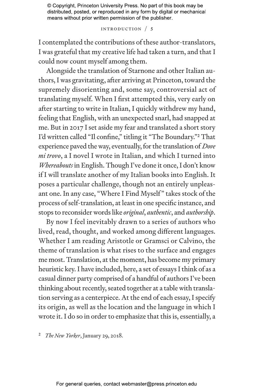#### Introduction / 5

I contemplated the contributions of these author-translators, I was grateful that my creative life had taken a turn, and that I could now count myself among them.

Alongside the translation of Starnone and other Italian authors, I was gravitating, after arriving at Princeton, toward the supremely disorienting and, some say, controversial act of translating myself. When I first attempted this, very early on after starting to write in Italian, I quickly withdrew my hand, feeling that English, with an unexpected snarl, had snapped at me. But in 2017 I set aside my fear and translated a short story I'd written called "Il confine," titling it "The Boundary."2 That experience paved the way, eventually, for the translation of *Dove mi trovo*, a I novel I wrote in Italian, and which I turned into *Whereabouts* in English. Though I've done it once, I don't know if I will translate another of my Italian books into English. It poses a particular challenge, though not an entirely unpleasant one. In any case, "Where I Find Myself " takes stock of the process of self-translation, at least in one specific instance, and stops to reconsider words like *original*, *authentic*, and *authorship*.

By now I feel inevitably drawn to a series of authors who lived, read, thought, and worked among different languages. Whether I am reading Aristotle or Gramsci or Calvino, the theme of translation is what rises to the surface and engages me most. Translation, at the moment, has become my primary heuristic key. I have included, here, a set of essays I think of as a casual dinner party comprised of a handful of authors I've been thinking about recently, seated together at a table with translation serving as a centerpiece. At the end of each essay, I specify its origin, as well as the location and the language in which I wrote it. I do so in order to emphasize that this is, essentially, a

2 *The New Yorker*, January 29, 2018.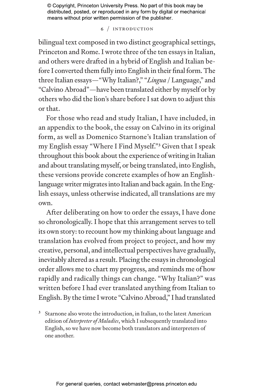6 / Introduction

bilingual text composed in two distinct geographical settings, Princeton and Rome. I wrote three of the ten essays in Italian, and others were drafted in a hybrid of English and Italian before I converted them fully into English in their final form. The three Italian essays—"Why Italian?," "*Lingua* / Language," and "Calvino Abroad"—have been translated either by myself or by others who did the lion's share before I sat down to adjust this or that.

For those who read and study Italian, I have included, in an appendix to the book, the essay on Calvino in its original form, as well as Domenico Starnone's Italian translation of my English essay "Where I Find Myself."3 Given that I speak throughout this book about the experience of writing in Italian and about translating myself, or being translated, into English, these versions provide concrete examples of how an Englishlanguage writer migrates into Italian and back again. In the English essays, unless otherwise indicated, all translations are my own.

After deliberating on how to order the essays, I have done so chronologically. I hope that this arrangement serves to tell its own story: to recount how my thinking about language and translation has evolved from project to project, and how my creative, personal, and intellectual perspectives have gradually, inevitably altered as a result. Placing the essays in chronological order allows me to chart my progress, and reminds me of how rapidly and radically things can change. "Why Italian?" was written before I had ever translated anything from Italian to English. By the time I wrote "Calvino Abroad," I had translated

<sup>3</sup> Starnone also wrote the introduction, in Italian, to the latest American edition of *Interpreter of Maladies*, which I subsequently translated into English, so we have now become both translators and interpreters of one another.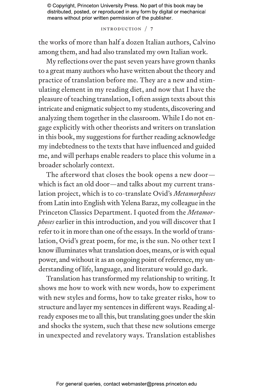#### Introduction / 7

the works of more than half a dozen Italian authors, Calvino among them, and had also translated my own Italian work.

My reflections over the past seven years have grown thanks to a great many authors who have written about the theory and practice of translation before me. They are a new and stimulating element in my reading diet, and now that I have the pleasure of teaching translation, I often assign texts about this intricate and enigmatic subject to my students, discovering and analyzing them together in the classroom. While I do not engage explicitly with other theorists and writers on translation in this book, my suggestions for further reading acknowledge my indebtedness to the texts that have influenced and guided me, and will perhaps enable readers to place this volume in a broader scholarly context.

The afterword that closes the book opens a new door which is fact an old door—and talks about my current translation project, which is to co-translate Ovid's *Metamorphoses* from Latin into English with Yelena Baraz, my colleague in the Princeton Classics Department. I quoted from the *Metamorphoses* earlier in this introduction, and you will discover that I refer to it in more than one of the essays. In the world of translation, Ovid's great poem, for me, is the sun. No other text I know illuminates what translation does, means, or is with equal power, and without it as an ongoing point of reference, my understanding of life, language, and literature would go dark.

Translation has transformed my relationship to writing. It shows me how to work with new words, how to experiment with new styles and forms, how to take greater risks, how to structure and layer my sentences in different ways. Reading already exposes me to all this, but translating goes under the skin and shocks the system, such that these new solutions emerge in unexpected and revelatory ways. Translation establishes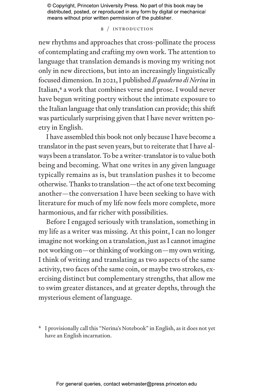#### 8 / Introduction

new rhythms and approaches that cross-pollinate the process of contemplating and crafting my own work. The attention to language that translation demands is moving my writing not only in new directions, but into an increasingly linguistically focused dimension. In 2021, I published *Il quaderno di Nerina* in Italian,<sup>4</sup> a work that combines verse and prose. I would never have begun writing poetry without the intimate exposure to the Italian language that only translation can provide; this shift was particularly surprising given that I have never written poetry in English.

I have assembled this book not only because I have become a translator in the past seven years, but to reiterate that I have always been a translator. To be a writer-translator is to value both being and becoming. What one writes in any given language typically remains as is, but translation pushes it to become otherwise. Thanks to translation—the act of one text becoming another—the conversation I have been seeking to have with literature for much of my life now feels more complete, more harmonious, and far richer with possibilities.

Before I engaged seriously with translation, something in my life as a writer was missing. At this point, I can no longer imagine not working on a translation, just as I cannot imagine not working on—or thinking of working on—my own writing. I think of writing and translating as two aspects of the same activity, two faces of the same coin, or maybe two strokes, exercising distinct but complementary strengths, that allow me to swim greater distances, and at greater depths, through the mysterious element of language.

4 I provisionally call this "Nerina's Notebook" in English, as it does not yet have an English incarnation.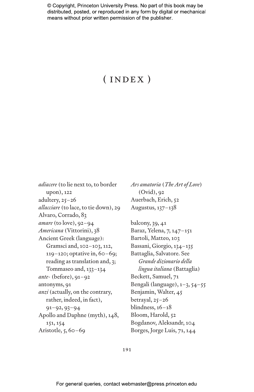## ( index )

*adiacere* (to lie next to, to border upon), 122 adultery, 25–26 *allacciare* (to lace, to tie down), 29 Alvaro, Corrado, 83 *amare* (to love), 92–94 *Americana* (Vittorini), 38 Ancient Greek (language): Gramsci and, 102–103, 112, 119–120; optative in, 60–69; reading as translation and, 3; Tommaseo and, 133–134 *ante-* (before), 91–92 antonyms, 91 *anzi* (actually, on the contrary, rather, indeed, in fact), 91–92, 93–94 Apollo and Daphne (myth), 148, 151, 154 Aristotle, 5, 60–69

*Ars amatoria* (*The Art of Love*) (Ovid), 92 Auerbach, Erich, 52 Augustus, 137–138 balcony, 39, 41 Baraz, Yelena, 7, 147–151 Bartoli, Matteo, 103 Bassani, Giorgio, 134–135 Battaglia, Salvatore. See *Grande dizionario della lingua italiana* (Battaglia) Beckett, Samuel, 71 Bengali (language), 1–3, 54–55 Benjamin, Walter, 45 betrayal, 25–26 blindness, 16–18 Bloom, Harold, 52 Bogdanov, Aleksandr, 104 Borges, Jorge Luis, 71, 144

191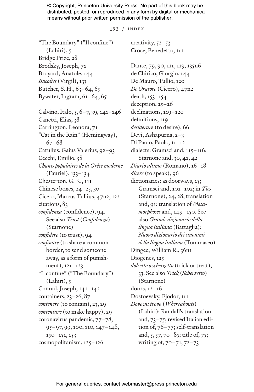192 / index

creativity, 52–53 Croce, Benedetto, 111

"The Boundary" ("Il confine") (Lahiri), 5 Bridge Prize, 28 Brodsky, Joseph, 71 Broyard, Anatole, 144 *Bucolics* (Virgil), 133 Butcher, S. H., 63–64, 65 Bywater, Ingram, 61–64, 65 Calvino, Italo, 5, 6–7, 39, 141–146 Canetti, Elias, 38 Carrington, Leonora, 71 "Cat in the Rain" (Hemingway), 67–68 Catullus, Gaius Valerius, 92–93 Cecchi, Emilio, 58 *Chants populaires de la Grèce moderne* (Fauriel), 133–134 Chesterton, G. K., 111 Chinese boxes, 24–25, 30 Cicero, Marcus Tullius, 47n2, 122 citations, 83 *confidenza* (confidence), 94. See also *Trust* (*Confidenza*) (Starnone) *confidere* (to trust), 94 *confinare* (to share a common border, to send someone away, as a form of punishment), 121–123 "Il confine" ("The Boundary") (Lahiri), 5 Conrad, Joseph, 141–142 containers, 23–26, 87 *contenere* (to contain), 23, 29 *contentare* (to make happy), 29 coronavirus pandemic, 77–78, 95–97, 99, 100, 110, 147–148,  $150 - 151, 153$ cosmopolitanism, 125–126

Dante, 79, 90, 111, 119, 135n6 de Chirico, Giorgio, 144 De Mauro, Tullio, 120 *De Oratore* (Cicero), 47n2 death, 153–154 deception, 25–26 declinations, 119–120 definitions, 119 *desiderare* (to desire), 66 Devi, Ashapurna, 2–3 Di Paolo, Paolo, 11–12 dialects: Gramsci and, 115–116; Starnone and, 30, 41, 42 *Diario ultimo* (Romano), 16–18 *dicere* (to speak), 96 dictionaries: as doorways, 15; Gramsci and, 101–102; in *Ties* (Starnone), 24, 28; translation and, 91; translation of *Metamorphoses* and, 149–150. See also *Grande dizionario della lingua italiana* (Battaglia); *Nuovo dizionario dei sinonimi della lingua italiana* (Tommaseo) Dingee, William R., 36n1 Diogenes, 125 *dolcetto o scherzetto* (trick or treat), 33. See also *Trick* (*Scherzetto*) (Starnone) doors, 12–16 Dostoevsky, Fjodor, 111 *Dove mi trovo* (*Whereabouts*) (Lahiri): Randall's translation and, 73–75; revised Italian edition of, 76–77; self-translation and, 5, 57, 70–85; title of, 75; writing of, 70–71, 72–73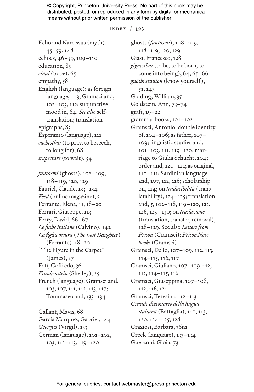index / 193

Echo and Narcissus (myth),  $45 - 59, 148$ echoes, 46–59, 109–110 education, 89 *einai* (to be), 65 empathy, 58 English (language): as foreign language, 1–3; Gramsci and, 102–103, 112; subjunctive mood in, 64. *See also* selftranslation; translation epigraphs, 83 Esperanto (language), 111 *euchesthai* (to pray, to beseech, to long for), 68 *exspectare* (to wait), 54 *fantasmi* (ghosts), 108–109, 118–119, 120, 129 Fauriel, Claude, 133–134 *Feed* (online magazine), 2 Ferrante, Elena, 11, 18–20 Ferrari, Giuseppe, 113 Ferry, David, 66–67 *Le fiabe italiane* (Calvino), 142 *La figlia oscura* (*The Lost Daughter*) (Ferrante), 18–20 "The Figure in the Carpet" (James), 37 Fofi, Goffredo, 36 *Frankenstein* (Shelley), 25 French (language): Gramsci and, 103, 107, 111, 112, 113, 117; Tommaseo and, 133–134

Gallant, Mavis, 68 García Márquez, Gabriel, 144 *Georgics* (Virgil), 133 German (language), 101–102, 103, 112–113, 119–120

ghosts (*fantasmi*), 108–109, 118–119, 120, 129 Giasi, Francesco, 128 *gignesthai* (to be, to be born, to come into being),  $64, 65-66$ *gnōthi seauton* (know yourself ), 51, 143 Golding, William, 35 Goldstein, Ann, 73–74 graft, 19–22 grammar books, 101–102 Gramsci, Antonio: double identity of, 104–106; as father, 107– 109; linguistic studies and, 101–103, 111, 119–120; marriage to Giulia Schucht, 104; order and, 120–121; as original, 110–111; Sardinian language and, 107, 112, 116; scholarship on, 114; on *traducibilità* (translatability), 124–125; translation and, 5, 102–118, 119–120, 123, 126, 129–130; on *traslazione* (translation, transfer, removal), 128–129. See also *Letters from Prison* (Gramsci); *Prison Notebooks* (Gramsci) Gramsci, Delio, 107–109, 112, 113, 114–115, 116, 117 Gramsci, Giuliano, 107–109, 112, 113, 114–115, 116 Gramsci, Giuseppina, 107–108, 112, 116, 121 Gramsci, Teresina, 112–113 *Grande dizionario della lingua italiana* (Battaglia), 110, 113, 120, 124–125, 128 Graziosi, Barbara, 36n1 Greek (language), 133–134 Guerzoni, Gioia, 73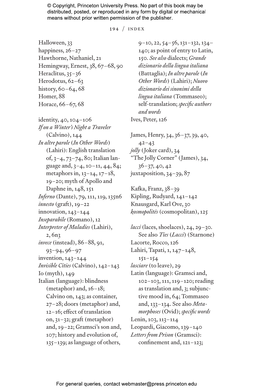194 / index

Halloween, 33 happiness, 26–27 Hawthorne, Nathaniel, 21 Hemingway, Ernest, 38, 67–68, 90 Heraclitus, 35-36 Herodotus, 62-63 history, 60–64, 68 Homer, 88 Horace, 66–67, 68

identity, 40, 104–106 *If on a Winter's Night a Traveler* (Calvino), 144 *In altre parole* (*In Other Words*) (Lahiri): English translation of, 3–4, 73–74, 80; Italian language and, 3–4, 10–11, 44, 84; metaphors in, 13–14, 17–18, 19–20; myth of Apollo and Daphne in, 148, 151 *Inferno* (Dante), 79, 111, 119, 135n6 *innesto* (graft), 19–22 innovation, 143–144 *Inseparabile* (Romano), 12 *Interpreter of Maladies* (Lahiri), 2, 6n3 *invece* (instead), 86–88, 91, 93–94, 96–97 invention, 143–144 *Invisible Cities* (Calvino), 142–143 Io (myth), 149 Italian (language): blindness (metaphor) and, 16–18; Calvino on, 143; as container, 27–28; doors (metaphor) and, 12–16; effect of translation on, 31–32; graft (metaphor) and, 19–22; Gramsci's son and, 107; history and evolution of, 135–139; as language of others,

9–10, 22, 54–56, 131–132, 134– 140; as point of entry to Latin, 150. *See also* dialects; *Grande dizionario della lingua italiana* (Battaglia); *In altre parole* (*In Other Words*) (Lahiri); *Nuovo dizionario dei sinonimi della lingua italiana* (Tommaseo); self-translation; *specific authors and words* Ives, Peter, 126

James, Henry, 34, 36–37, 39, 40,  $42 - 43$ *jolly* (Joker card), 34 "The Jolly Corner" (James), 34, 36–37, 40, 42 juxtaposition, 34–39, 87

Kafka, Franz, 38–39 Kipling, Rudyard, 141–142 Knausgard, Karl Ove, 30 *kosmopolitēs* (cosmopolitan), 125

*lacci* (laces, shoelaces), 24, 29–30. See also *Ties* (*Lacci*) (Starnone) Lacorte, Rocco, 126 Lahiri, Tapati, 1, 147–148, 151–154 *lasciare* (to leave), 29 Latin (language): Gramsci and, 102–103, 111, 119–120; reading as translation and, 3; subjunctive mood in, 64; Tommaseo and, 133–134. See also *Metamorphoses* (Ovid); *specific words* Lenin, 103, 113–114 Leopardi, Giacomo, 139–140 *Letters from Prison* (Gramsci): confinement and, 121–123;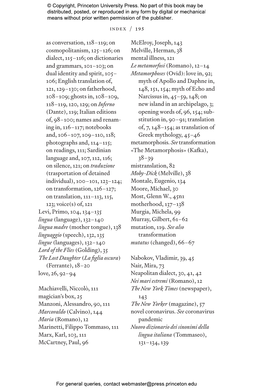index / 195

as conversation, 118–119; on cosmopolitanism, 125–126; on dialect, 115–116; on dictionaries and grammars, 101–103; on dual identity and spirit, 105– 106; English translation of, 121, 129–130; on fatherhood, 108–109; ghosts in, 108–109, 118–119, 120, 129; on *Inferno* (Dante), 119; Italian editions of, 98–100; names and renaming in, 116–117; notebooks and, 106–107, 109–110, 118; photographs and, 114–115; on readings, 111; Sardinian language and, 107, 112, 116; on silence, 121; on *traduzione* (trasportation of detained individual), 100–101, 123–124; on transformation, 126–127; on translation, 111–113, 115, 123; voice(s) of, 121 Levi, Primo, 104, 134–135 *lingua* (language), 132–140 *lingua madre* (mother tongue), 138 *linguaggio* (speech), 132, 135 *lingue* (languages), 132–140 *Lord of the Flies* (Golding), 35 *The Lost Daughter* (*La figlia oscura*) (Ferrante), 18–20 love, 26, 92–94

Machiavelli, Niccolò, 111 magician's box, 25 Manzoni, Alessandro, 90, 111 *Marcovaldo* (Calvino), 144 *Maria* (Romano), 12 Marinetti, Filippo Tommaso, 111 Marx, Karl, 103, 111 McCartney, Paul, 96

McElroy, Joseph, 143 Melville, Herman, 38 mental illness, 121 *Le metamorfosi* (Romano), 12–14 *Metamorphoses* (Ovid): love in, 92; myth of Apollo and Daphne in, 148, 151, 154; myth of Echo and Narcissus in, 45–59, 148; on new island in an archipelago, 3; opening words of, 96, 154; substitution in, 90–91; translation of, 7, 148–154; as translation of Greek mythology, 45–46 metamorphosis. *See* transformation «The Metamorphosis» (Kafka), 38–39 mistranslation, 82 *Moby-Dick* (Melville), 38 Montale, Eugenio, 134 Moore, Michael, 30 Most, Glenn W., 45n1 motherhood, 137–138 Murgia, Michela, 99 Murray, Gilbert, 61–62 mutation, 119. *See also* transformation *mutatus* (changed), 66–67

Nabokov, Vladimir, 39, 45 Nair, Mira, 73 Neapolitan dialect, 30, 41, 42 *Nei mari estremi* (Romano), 12 *The New York Times* (newspaper), 143 *The New Yorker* (magazine), 57 novel coronavirus. *See* coronavirus pandemic *Nuovo dizionario dei sinonimi della lingua italiana* (Tommaseo), 131–134, 139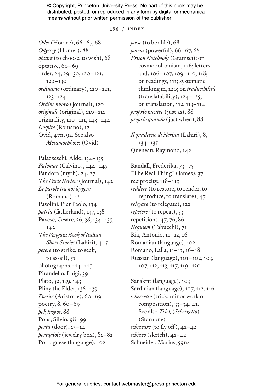196 / index

*Odes* (Horace), 66–67, 68 *Odyssey* (Homer), 88 *optare* (to choose, to wish), 68 optative, 60–69 order, 24, 29–30, 120–121, 129–130 *ordinario* (ordinary), 120–121, 123–124 *Ordine nuovo* (journal), 120 *originale* (original), 110–111 originality, 110–111, 143–144 *L'ospite* (Romano), 12 Ovid, 47n, 92. See also *Metamorphoses* (Ovid) Palazzeschi, Aldo, 134–135 *Palomar* (Calvino), 144–145 Pandora (myth), 24, 27 *The Paris Review* (journal), 142 *Le parole tra noi leggere* (Romano), 12 Pasolini, Pier Paolo, 134 *patria* (fatherland), 137, 138 Pavese, Cesare, 26, 38, 134–135, 142 *The Penguin Book of Italian Short Stories* (Lahiri), 4–5 *petere* (to strike, to seek, to assail), 53 photographs, 114–115 Pirandello, Luigi, 39 Plato, 52, 139, 143 Pliny the Elder, 136–139 *Poetics* (Aristotle), 60–69 poetry, 8, 60–69 *polytropos*, 88 Pons, Silvio, 98–99 *porta* (door), 13–14 *portagioie* (jewelry box), 81–82 Portuguese (language), 102

*posse* (to be able), 68 *potens* (powerful), 66–67, 68 *Prison Notebooks* (Gramsci): on cosmopolitanism, 126; letters and, 106–107, 109–110, 118; on readings, 111; systematic thinking in, 120; on *traducibilità* (translatability), 124–125; on translation, 112, 113–114 *proprio mentre* (just as), 88 *proprio quando* (just when), 88

*Il quaderno di Nerina* (Lahiri), 8, 134–135 Queneau, Raymond, 142

Randall, Frederika, 73–75 "The Real Thing" (James), 37 reciprocity, 118–119 *reddere* (to restore, to render, to reproduce, to translate), 47 *relegare* (to relegate), 122 *repetere* (to repeat), 53 repetitions, 47, 76, 86 *Requiem* (Tabucchi), 71 Ria, Antonio, 11–12, 16 Romanian (language), 102 Romano, Lalla, 11–13, 16–18 Russian (language), 101–102, 103, 107, 112, 113, 117, 119–120

Sanskrit (language), 103 Sardinian (language), 107, 112, 116 *scherzetto* (trick, minor work or composition),  $33-34$ ,  $41$ . See also *Trick* (*Scherzetto*) (Starnone) *schizzare* (to fly off ), 41–42 *schizzo* (sketch), 41–42 Schneider, Marius, 59n4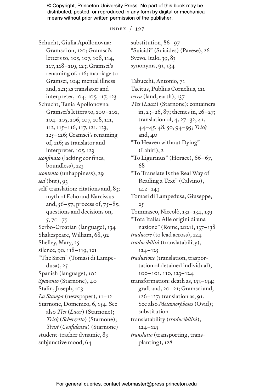index / 197

Schucht, Giulia Apollonovna: Gramsci on, 120; Gramsci's letters to, 105, 107, 108, 114, 117, 118–119, 123; Gramsci's renaming of, 116; marriage to Gramsci, 104; mental illness and, 121; as translator and interpreter, 104, 105, 117, 123 Schucht, Tania Apollonovna: Gramsci's letters to, 100–101, 104–105, 106, 107, 108, 111, 112, 115–116, 117, 121, 123, 125–126; Gramsci's renaming of, 116; as translator and interpreter, 105, 123 *sconfinato* (lacking confines, boundless), 123 *scontento* (unhappiness), 29 *sed* (but), 93 self-translation: citations and, 83; myth of Echo and Narcissus and,  $56 - 57$ ; process of,  $75 - 85$ ; questions and decisions on, 5, 70–75 Serbo-Croatian (language), 134 Shakespeare, William, 68, 92 Shelley, Mary, 25 silence, 90, 118–119, 121 "The Siren" (Tomasi di Lampedusa), 25 Spanish (language), 102 *Spavento* (Starnone), 40 Stalin, Joseph, 103 *La Stampa* (newspaper), 11–12 Starnone, Domenico, 6, 154. See also *Ties* (*Lacci*) (Starnone); *Trick* (*Scherzetto*) (Starnone); *Trust* (*Confidenza*) (Starnone) student-teacher dynamic, 89 subjunctive mood, 64

substitution, 86–97 "Suicidi" (Suicides) (Pavese), 26 Svevo, Italo, 39, 83 synonyms, 91, 134

Tabucchi, Antonio, 71 Tacitus, Publius Cornelius, 111 *terra* (land, earth), 137 *Ties* (*Lacci*) (Starnone): containers in, 23–26, 87; themes in, 26–27; translation of, 4, 27–32, 41, 44–45, 48, 50, 94–95; *Trick* and, 40 "To Heaven without Dying" (Lahiri), 2 "To Ligurinus" (Horace), 66–67, 68 "To Translate Is the Real Way of Reading a Text" (Calvino), 142–143 Tomasi di Lampedusa, Giuseppe, 25 Tommaseo, Niccolò, 131–134, 139 "Tota Italia: Alle origini di una nazione" (Rome, 2021), 137–138 *traducere* (to lead across), 124 *traducibilità* (translatability), 124–125 *traduzione* (translation, trasportation of detained individual), 100–101, 110, 123–124 transformation: death as, 153–154; graft and, 20–21; Gramsci and, 126–127; translation as, 91. See also *Metamorphoses* (Ovid); substitution translatability (*traducibilità*), 124–125 *translatio* (transporting, transplanting), 128